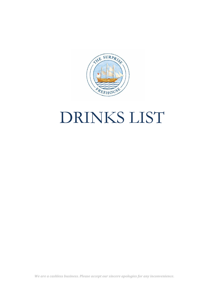

# DRINKS LIST

We are a cashless business. Please accept our sincere apologies for any inconvenience.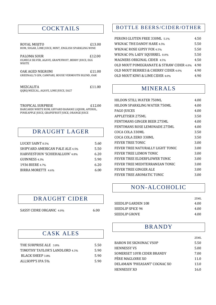#### COCKTAILS

| ROYAL MOJITO                                         | £13.00 |
|------------------------------------------------------|--------|
| RUM, SUGAR, LIME JUICE, MINT, ENGLISH SPARKLING WINE |        |
|                                                      |        |
| PALOMA SOUR                                          | £12.00 |
| OLMECA SILVER, AGAVE, GRAPEFRUIT, BERRY JUICE, EGG   |        |
| <b>WHITE</b>                                         |        |
|                                                      |        |
| OAK AGED NEGRONI                                     | £11.00 |
| GREENALL'S GIN. CAMPARI. HOUSE VERMOUTH BLEND. OAK   |        |
|                                                      |        |
| MEZCALITA                                            | £11.00 |
| OORO MEZCAL, AGAVE, LIME JUICE, SALT                 |        |
|                                                      |        |
|                                                      |        |

TROPICAL SURPRISE  $£12.00$ BARCARDI WHITE RUM, GIFFARD BANANE LIQUOR, APEROL, PINIEAPPLE JUICE, GRAPEFRUIT JUICE, ORANGE JUICE

#### DRAUGHT LAGER

| LUCKY SAINT 0.5%                       | 5.60 |
|----------------------------------------|------|
| <b>SHIPYARD AMERICAN PALE ALE 4.5%</b> | 5.50 |
| <b>HARVIESTOUN 'SCHIEHALLION' 4.8%</b> | 6.20 |
| GUINNESS 4.3%                          | 5.90 |
| 1936 BIERE 4.7%                        | 6.20 |
| BIRRA MORETTI 4.6%                     | 6.00 |

#### DRAUGHT CIDER

SASSY CIDRE ORGANIC 4.0% 6.00

## CASK ALES

| THE SURPRISE ALE 3.8%          | 5.50  |
|--------------------------------|-------|
| TIMOTHY TAYLOR'S LANDLORD 4.3% | 5.90  |
| <b>BLACK SHEEP 3.8%</b>        | -5.90 |
| ALLSOPP'S IPA 5%               | -5.90 |

#### BOTTLE BEERS/CIDER/OTHER

| PERONI GLUTEN FREE 330ML 5.1%           | 4.50 |
|-----------------------------------------|------|
| WIGNAC THE DANDY HARE 4.5%              | 5.50 |
| WIGNAC ROSE GIPSY FOX 4.5%              | 5.50 |
| WIGNAC 0% LADY SQUIRREL 0.0%            | 5.50 |
| MAGNERS ORIGINAL CIDER 4.5%             | 4.50 |
| OLD MOUT POMEGRANATE & STRAW CIDER 4.0% | 4.90 |
| OLD MOUT BERRIES & CHERRY CIDER 4.0%    | 4.90 |
| OLD MOUT KIWI & LIME CIDER 4.0%         | 4.90 |

#### MINERALS

| HILDON STILL WATER 750ML         | 4.00 |
|----------------------------------|------|
| HILDON SPARKLING WATER 750ML     | 4.00 |
| <b>PAGO JUICES</b>               | 4.00 |
| <b>APPLETISER 275ML</b>          | 3.50 |
| FENTIMANS GINGER BEER 275ML      | 4.00 |
| FENTIMANS ROSE LEMONADE 275ML    | 4.00 |
| COCA COLA 330ML                  | 3.50 |
| COCA COLA ZERO 330ML             | 3.50 |
| FEVER TREE TONIC                 | 3.00 |
| FEVER TREE NATURALLY LIGHT TONIC | 3.00 |
| FEVER TREE LEMON TONIC           | 3.00 |
| FEVER TREE ELDERFLOWER TONIC     | 3.00 |
| FEVER TREE MEDITERRANEAN TONIC   | 3.00 |
| FEVER TREE GINGER ALE            | 3.00 |
| FEVER TREE AROMATIC TONIC        | 3.00 |

#### NON-ALCOHOLIC

|                    | 25ML |
|--------------------|------|
| SEEDLIP GARDEN 108 | 4.00 |
| SEEDLIP SPICE 94   | 4.00 |
| SEEDLIP GROVE      | 4.00 |

#### BRANDY

|                               | 25ML |
|-------------------------------|------|
| BARON DE SIGNONAC VSOP        | 5.50 |
| <b>HENNESSY VS</b>            | 5.00 |
| SOMERSET 10YR CIDER BRANDY    | 7.00 |
| PÈRE MAGLOIRE XO              | 11.0 |
| DELAMAIN 'PHEASANT' COGNAC XO | 13.0 |
| HENNESSY XO                   | 16.0 |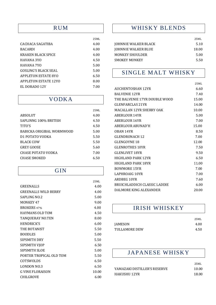#### RUM

|                             | 25ML |
|-----------------------------|------|
| CACHACA SAGATIBA            | 4.00 |
| <b>BACARDI</b>              | 4.00 |
| KRAKEN BLACK SPICE          | 4.00 |
| HAVANA 3YO                  | 4.50 |
| HAVANA 7YO                  | 5.00 |
| GOSLING'S BLACK SEAL        | 5.00 |
| <b>APPLETON ESTATE 8YO</b>  | 6.50 |
| <b>APPLETON ESTATE 12YO</b> | 8.00 |
| EL DORADO 12Y               | 7.00 |
|                             |      |

#### VODKA

|                           | 25ML |
|---------------------------|------|
| <b>ABSOLUT</b>            | 4.00 |
| SAPLINNG 100% BRITISH     | 4.50 |
| TITO'S                    | 4.50 |
| BABICKA ORIGIBAL WORMWOOD | 5.00 |
| D1 POTATO VODKA           | 5.50 |
| BLACK COW                 | 5.50 |
| GREY GOOSE                | 5.60 |
| CHASE POTATO VODKA        | 7.00 |
| CHASE SMOKED              | 6.50 |

#### GIN

|                             | 25ML  |
|-----------------------------|-------|
| GREENALLS                   | 4.00  |
| <b>GREENALLS WILD BERRY</b> | 4.00  |
| SAPLING NO.2                | 5.00  |
| MONKEY 47                   | 9.00  |
| <b>BROKERS 47%</b>          | 4.00  |
| <b>HAYMANS OLD TOM</b>      | 4.50  |
| <b>TANQUERAY NO.TEN</b>     | 8.00  |
| <b>HENDRICK'S</b>           | 6.00  |
| THE BOTANIST                | 5.50  |
| <b>BOODLES</b>              | 5.00  |
| SIPSMITH DRY                | 5.50  |
| SIPSMITH VJOP               | 6.50  |
| <b>SIPSMITH SLOE</b>        | 5.00  |
| PORTER TROPICAL OLD TOM     | 5.50  |
| COTSWOLDS                   | 6.50  |
| LONDON NO.3                 | 6.50  |
| <b>G VINE FLORAISON</b>     | 10.00 |
| <b>CHILGROVE</b>            | 6.00  |
|                             |       |

## WHISKY BLENDS

|                            | 25ML  |
|----------------------------|-------|
| JOHNNIE WALKER BLACK       | 5.10  |
| <b>JOHNNIE WALKER BLUE</b> | 18.00 |
| MONKEY SHOULDER            | 5.00  |
| <b>SMOKEY MONKEY</b>       | 5.50  |

# SINGLE MALT WHISKY

|                               | 25ML  |
|-------------------------------|-------|
| AUCHENTOSHAN 12YR             | 6.60  |
| <b>BALVENIE 12YR</b>          | 7.40  |
| THE BALVENIE 17YR DOUBLE WOOD | 15.00 |
| GLENFARCLAS 21YR              | 14.00 |
| MACALLAN 12YR SHERRY OAK      | 10.00 |
| <b>ABERLOUR 14YR</b>          | 5.00  |
| <b>ABERLOUR 16YR</b>          | 7.00  |
| ABERLOUR ABUNAD'H             | 15.00 |
| OBAN 14YR                     | 8.50  |
| GLENDRONACH 12                | 7.00  |
| <b>GLENGOYNE 18</b>           | 12.00 |
| <b>GLENROTHES 10YR</b>        | 7.50  |
| <b>GLENLIVET 18YR</b>         | 9.50  |
| HIGHLAND PARK 12YR            | 6.50  |
| HIGHLAND PARK 18YR            | 11.00 |
| <b>BOWMORE 15YR</b>           | 7.00  |
| LAPHROAIG 10YR                | 7.00  |
| ARDBEG 10YR                   | 7.60  |
| BRUICHLADDICH CLASSIC LADDIE  | 6.00  |
| DALMORE KING ALEXANDER        | 20.00 |

## IRISH WHISKEY

|                      | 25ML |
|----------------------|------|
| <b>JAMESON</b>       | 4.00 |
| <b>TULLAMORE DEW</b> | 4.50 |

## JAPANESE WHISKY

|                              | 25ML  |
|------------------------------|-------|
| YAMAZAKI DISTILLER'S RESERVE | 10.00 |
| HAKUSHU 12YR                 | 18.00 |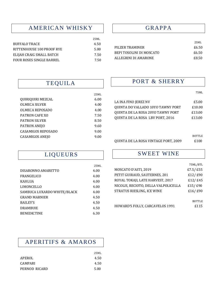# AMERICAN WHISKY

|                           | 25ML |
|---------------------------|------|
| BUFFALO TRACE             | 4.50 |
| RITTENHOUSE 100 PROOF RYE | 5.00 |
| ELIJAH CRAIG SMALL BATCH  | 7.50 |
| FOUR ROSES SINGLE BARREL  | 7.50 |

#### GRAPPA

|                          | 25ML  |
|--------------------------|-------|
| PILZER TRAMINER          | £6.50 |
| BEPI TOSOLINI DI MOSCATO | £6.50 |
| ALLEGRINI DI AMARONE     | £8.50 |

## TEQUILA

|                           | 25ML |
|---------------------------|------|
| QUIRIQUIRI MEZCAL         | 6.00 |
| <b>OLMECA SILVER</b>      | 4.00 |
| OLMECA REPOSADO           | 4.00 |
| PATRON CAFE XO            | 7.50 |
| <b>PATRON SILVER</b>      | 8.50 |
| PATRON ANEJO              | 9.60 |
| <b>CASAMIGOS REPOSADO</b> | 9.00 |
| CASAMIGOS ANEJO           | 9.00 |
|                           |      |

#### PORT & SHERRY

| M.<br>v |
|---------|
|---------|

| £5.00  |
|--------|
| £10.00 |
| £13.00 |
| £13.00 |
|        |

#### BOTTLE QUINTA DE LA ROSA VINTAGE PORT, 2009 £100

#### SWEET WINE

|                                      | 75ML/BTL      |
|--------------------------------------|---------------|
| MOSCATO D'ASTI, 2019                 | £7.5/£55      |
| PETIT GUIRAUD, SAUTERNES, 201        | £12/£90       |
| ROYAL TOKAJI, LATE HARVEST, 2017     | £12/£45       |
| NICOLIS, RECIOTO, DELLA VALPOLICELLA | £15/£90       |
| STRATUS RIESLING, ICE WINE           | £16/£90       |
|                                      |               |
|                                      | <b>BOTTLE</b> |
| HOWARD'S FOLLY, CARCAVELOS 1991      | £115          |

# LIQUEURS

|                             | 25ML |
|-----------------------------|------|
| DISARONNO AMARETTO          | 4.00 |
| FRANGELICO                  | 4.00 |
| <b>KAHLUA</b>               | 4.00 |
| LIMONCELLO                  | 4.00 |
| SAMBUCA LUXARDO WHITE/BLACK | 4.00 |
| <b>GRAND MARNIER</b>        | 4.50 |
| <b>BAILEY'S</b>             | 4.50 |
| DRAMBUIE                    | 4.50 |
| <b>BENEDICTINE</b>          | 6.30 |

# APERITIFS & AMAROS

|                | 25ML |
|----------------|------|
| APEROL         | 4.50 |
| <b>CAMPARI</b> | 4.50 |
| PERNOD RICARD  | 5.00 |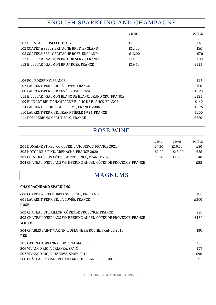# ENGLISH SPARKLING AND CHAMPAGNE

|                                                        | 125ML  | <b>BOTTLE</b> |
|--------------------------------------------------------|--------|---------------|
| 101 BEL STAR PROSECCO, ITALY                           | £7.00  | £40           |
| 102 COATES & SEELY BRITAGNE BRUT, ENGLAND              | £12.00 | £65           |
| 103 COATES & SEELY BRITAGNE ROSÉ, ENGLAND              | £13.00 | £70           |
| 112 BILLECART-SALMON BRUT RESERVE, FRANCE              | £14.00 | £80           |
| 113 BILLECART-SALMON BRUT ROSE, FRANCE                 | £19.50 | £115          |
|                                                        |        |               |
| 106 POL ROGER NV, FRANCE                               |        | £95           |
| 107 LAURENT-PERRIER, LA CUVÉE, FRANCE                  |        | £100          |
| 108 LAURENT-PERRIER CUVÉE ROSÉ, FRANCE                 |        | £120          |
| 115 BILLECART-SALMON BLANC DE BLANC, GRAND CRU, FRANCE |        | £125          |
| 109 RUINART BRUT CHAMPAGNE BLANC DE BLANCS, FRANCE     |        | £140          |
| 114 LAURENT PERRIER MILLESIME, FRANCE 2006             |        | £175          |
| 110 LAURENT-PERRIER, GRAND SIECLE Nº 24, FRANCE        |        | £200          |
| 111 DOM PERIGNON BRUT 2010, FRANCE                     |        | £250          |

## ROSE WINE

|                                                                   | 175ML | 250ML  | <b>BOTTLE</b> |
|-------------------------------------------------------------------|-------|--------|---------------|
| 201 DOMAINE ST FELIX C CUVÉE, LANGUEDOC, FRANCE 2021              | £7.50 | £10.50 | £30           |
| 205 NOTORIOUS PINK, GRENACHE, FRANCE 2020                         | £9.00 | £13.00 | £38           |
| 203 CH. ST BAILLON CÔTES DE PROVENCE, FRANCE 2020                 | £9.50 | £13.50 | £40           |
| 204 CHATEAU D'ESCLANS WHISPERING ANGEL, CÔTES DE PROVENCE, FRANCE |       |        | £55           |

# MAGNUMS

#### **CHAMPAGNE AND SPARKLING**

| 600 COATES & SEELY BRITAGNE BRUT, ENGLAND<br>601 LAURENT-PERRIER, LA CUVÉE, FRANCE<br><b>ROSE</b>                      | £180<br>£200 |
|------------------------------------------------------------------------------------------------------------------------|--------------|
| 502 CHATEAU ST BAILLON, CÔTES DE PROVENCE, FRANCE<br>503 CHATEAU D'ESCLANS WHISPERING ANGEL, CÔTES DE PROVENCE, FRANCE | £90<br>£130  |
| <b>WHITE</b>                                                                                                           |              |
| 504 CHABLIS SAINT MARTIN, DOMAINE LA ROCHE, FRANCE 2018<br><b>RED</b>                                                  | £95          |
| 505 CATENA ADRIANNA FORTUNA MALBEC                                                                                     | £85          |
| 506 VIVANCO RIOJA CRIANZA, SPAIN                                                                                       | £75          |
| 507 VIVANCO RIOJA RESERVA, SPAIN 2014                                                                                  | £90          |
| 508 CHÂTEAU PEYRABON HAUT MEDOC, FRANCE 2006/08                                                                        | £95          |

PLEASE TURN PAGE FOR MORE WINES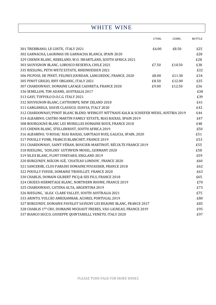# WHITE WINE

|                                                                                        | 175ML | 250ML  | <b>BOTTLE</b> |
|----------------------------------------------------------------------------------------|-------|--------|---------------|
| 301 TREBBIANO, LE COSTE, ITALY 2021                                                    | £6.00 | £8.50  | £25           |
| 302 GARNACHA, LAGRIMAS DE GARNACHA BLANCA, SPAIN 2020                                  |       |        | £28           |
| 329 CHENIN BLANC, REBELAND, W.O. SWARTLAND, SOUTH AFRICA 2021                          |       |        | £28           |
| 303 SAUVIGNON BLANC, LOROSCO RESERVA, CHILE 2021                                       | £7.50 | £10.50 | £30           |
| 335 RIESLING, PETH WETZ ESTATE, RHEINHESSEN 2021                                       |       |        | £32           |
| 306 PICPOUL DE PINET, FELINES JOURDAN, LANGUEDOC, FRANCE, 2020                         | £8.00 | £11.50 | £34           |
| 305 PINOT GRIGIO, RIFF ORGANIC, ITALY 2021                                             | £8.50 | £12.00 | £35           |
| 307 CHARDONNAY, DOMAINE LAFAGE CADIRETA, FRANCE 2020                                   | £9.00 | £12.50 | £36           |
| 336 SEMILLON, TIM ADAMS, AUSTRALIA 2017                                                |       |        | £38           |
| 313 GAVI, TUFFOLO D.O.C.G. ITALY 2021                                                  |       |        | £39           |
| 332 SOUVIGNON BLANC, CAYTHORPE, NEW ZELAND 2018                                        |       |        | £41           |
| 311 GARGANEGA, SOAVE CLASSICO, SUAVIA, ITALY 2020                                      |       |        | £42           |
| 312 CHARDONNAY/PINOT BLANC BLEND, WEINGUT NITTNAUS KALK & SCHIEFER WEISS, AUSTRIA 2019 |       |        | £44           |
| 314 ALBARINO, CASTRO MARTIN FAMILY ESTATE, RIAS BAIXAS, SPAIN 2019                     |       |        | £47           |
| 308 BOURGOGNE BLANC LES MURELLES DOMAINE ROUX, FRANCE 2018                             |       |        | £48           |
| 315 CHENIN BLANC, STELLENRUST, SOUTH AFRICA 2019                                       |       |        | £50           |
| 316 ALBARINO, 'O ROSAL' RIAS BAIXAS, SANTIAGO RUIZ, GALICIA, SPAIN, 2020               |       |        | £51           |
| 317 POUILLY FUME, FRANCIS BLANCHET, FRANCE 2019                                        |       |        | £53           |
| 331 CHARDONNAY, SAINT-VÉRAN, BOUCIER-MARTINOT, RÉCOLTE FRANCE 2019                     |       |        | £55           |
| 318 RIESLING, `SCHLOSS` GUTSWEIN MOSEL, GERMANY 2020                                   |       |        | £58           |
| 319 SILEX BLANC, FLINT VINEYARD, ENGLAND 2019                                          |       |        | £59           |
| 320 BURGUNDY, MÂCON-IGÉ, `CHATEAU LONDON`, FRANCE 2020                                 |       |        | £60           |
| 321 SANCERRE, CLOS PARADIS DOMAINE FOUASSIER, FRANCE 2018                              |       |        | £62           |
| 322 POUILLY FUISSE, DOMAINE TROUILLET, FRANCE 2020                                     |       |        | £63           |
| 330 CHABLIS, DOMAIN GILBERT PICQ & SES FILS, FRANCE 2018                               |       |        | £65           |
| 324 CROZES-HERMITAGE BLANC, NORTHERN RHONE, FRANCE 2019                                |       |        | £70           |
| 325 CHARDONNAY, CATENA ALTA, ARGENTINA 2019                                            |       |        | £73           |
| 326 RIESLING, `ALEA` CLARE VALLEY, SOUTH AUSTRALIA 2021                                |       |        | £75           |
| 333 ARINTO, VULCÃO AMEIXAMBAR, ACORES, PORTUGAL 2019                                   |       |        | £80           |
| 327 BURGUNDY, DOMAINE PAVELOT SAVIGNY LES BEAUNE BLANC, FRANCE 2017                    |       |        | £85           |
| 328 CHABLIS 1ER CRU, DOMAINE MICHAUT FRERES, VAU-LIGNEAU, FRANCE 2019                  |       |        | £95           |
| 337 BIANCO SECCO, GIUSEPPE QUINTARELLI, VENETO, ITALY 2020                             |       |        | £97           |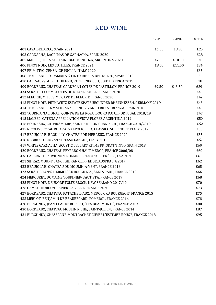RED WINE

|                                                                          | 175ML | 250ML  | <b>BOTTLE</b> |
|--------------------------------------------------------------------------|-------|--------|---------------|
| 401 CASA DEL ARCO, SPAIN 2021                                            | £6.00 | £8.50  | £25           |
| 403 GARNACHA, LAGRIMAS DE GARNACHA, SPAIN 2020                           |       |        | £28           |
| 405 MALBEC, TILIA, SUSTAINABLE, MANDOZA, ARGENTINA 2020                  | £7.50 | £10.50 | £30           |
| 406 PINOT NOIR, LES COTILLES, FRANCE 2021                                | £8.00 | £11.50 | £34           |
| 407 PRIMITIVO, ZENSA IGP PUGLIA, ITALY 2020                              |       |        | £35           |
| 408 TEMPRANILLO, DAMANA 5 TINTO RIBERA DEL DUERO, SPAIN 2019             |       |        | £36           |
| 410 CAB. SAUV/ MERLOT BLEND, STELLENBOSCH, SOUTH AFRICA 2019             |       |        | £38           |
| 409 BORDEAUX, CHATEAU GARDEGAN COTES DE CASTILLON, FRANCE 2019           | £9.50 | £13.50 | £39           |
| 434 SYRAH, ST COSME COTES DU RHONE ROUGE, FRANCE 2020                    |       |        | £40           |
| 412 FLEURIE, MILLESIME CAVE DE FLEURIE, FRANCE 2020                      |       |        | £42           |
| 413 PINOT NOIR, PETH WETZ ESTATE SPATBURGUNDER RHEINHESSEN, GERMANY 2019 |       |        | £43           |
| 414 TEMPRANILLO/MATURANA BLEND VIVANCO RIOJA CRIANZA, SPAIN 2018         |       |        | £45           |
| 432 TOURIGA NACIONAL, QUINTA DE LA ROSA, DOURO D.O.C., PORTUGAL 2018/19  |       |        | £47           |
| 415 MALBEC, CATENA APPELLATION VISTA FLORES ARGENTINA 2019               |       |        | £50           |
| 416 BORDEAUX, CH. VIRAMIERE, SAINT EMILION GRAND CRU, FRANCE 2018/2019   |       |        | £52           |
| 435 NICOLIS SECCAL RIPASSO VALPOLICELLA, CLASSICO SUPERIORE, ITALY 2017  |       |        | £53           |
| 417 BEAUJOLAIS, BROUILLY, CHATEAU DE PIERREUX, FRANCE 2020               |       |        | £55           |
| 418 NEBBIOLO, GIOVANNI ROSSO LANGHE, ITALY 2019                          |       |        | £57           |
| 419 WHITE GARNACHA, ACUSTIC CELLARS RITME PRIORAT TINTO, SPAIN 2018      |       |        | £60           |
| 420 BORDEAUX, CHÂTEAU PEYRABON HAUT MEDOC, FRANCE 2006/08                |       |        | £60           |
| 436 CABERNET SAUVIGNON, ROMAN CEREMONY, R. FRÈRES, USA 2020              |       |        | £61           |
| 421 SHIRAZ, MOUNT LANGI GHIRAN CLIFF EDGE, AUSTRALIA 2017                |       |        | £62           |
| 422 BEAUJOLAIS, CHATEAU DU MOULIN-A-VENT, FRANCE 2018                    |       |        | £65           |
| 423 SYRAH, CROZES-HERMITAGE ROUGE LES JALETS PAUL, FRANCE 2018           |       |        | £66           |
| 424 MERCUREY, DOMAINE TOUPINIER-BAUTISTA, FRANCE 2019                    |       |        | £68           |
| 425 PINOT NOIR, NEUDORF TOM'S BLOCK, NEW ZEALAND 2017/19                 |       |        | £70           |
| 426 GAMAY, MORGON, LAPIERE A VILLIE, FRANCE 2020                         |       |        | £73           |
| 427 BORDEAUX, CHATEAU PATACHE D'AUX, MEDOC CRU BOURGEOIS, FRANCE 2015    |       |        | £75           |
| 433 MERLOT, BENJAMIN DE BEAUREGARD, POMEROL, FRANCE 2016                 |       |        | £78           |
| 428 BURGUNDY, JEAN-CLAUDE BOISSET, 'LES BEAUMONTS', FRANCE 2019          |       |        | £80           |
| 430 BORDEAUX, CHATEAU MOULIN RICHE, SAINT-JULIEN, FRANCE 2014            |       |        | £87           |
| 431 BURGUNDY, CHASSAGNE-MONTRACHET CUVEE L'ESTIMEE ROUGE, FRANCE 2018    |       |        | £95           |